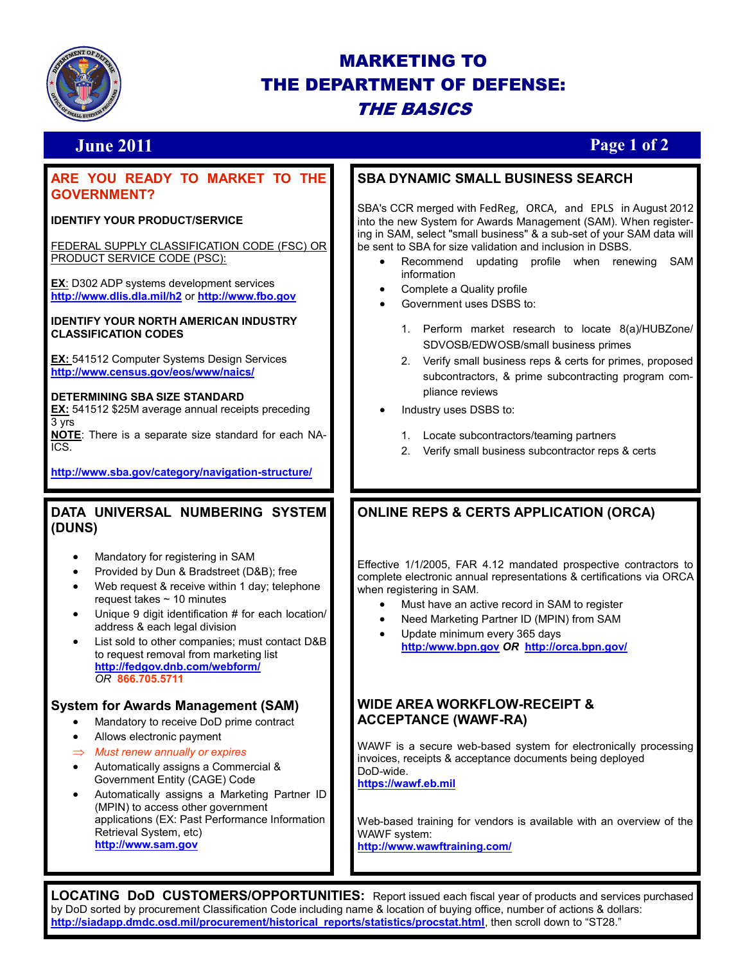

# MARKETING TO THE DEPARTMENT OF DEFENSE: THE BASICS

# **June 2011 Page 1 of 2**

## **ARE YOU READY TO MARKET TO THE GOVERNMENT?**

## **IDENTIFY YOUR PRODUCT/SERVICE**

FEDERAL SUPPLY CLASSIFICATION CODE (FSC) OR PRODUCT SERVICE CODE (PSC):

**EX**: D302 ADP systems development services **<http://www.dlis.dla.mil/h2>** or **[http://www.fbo.gov](http://www.fbo.gov/)**

**IDENTIFY YOUR NORTH AMERICAN INDUSTRY CLASSIFICATION CODES**

**EX:** 541512 Computer Systems Design Services **<http://www.census.gov/eos/www/naics/>**

## **DETERMINING SBA SIZE STANDARD**

**EX:** 541512 \$25M average annual receipts preceding 3 yrs

**NOTE**: There is a separate size standard for each NA-ICS.

**http://www.sba.gov/category/navigation-structure/**

## **DATA UNIVERSAL NUMBERING SYSTEM (DUNS)**

- Mandatory for registering in SAM
- Provided by Dun & Bradstreet (D&B); free
- Web request & receive within 1 day; telephone request takes  $\sim$  10 minutes
- Unique 9 digit identification # for each location/ address & each legal division
- List sold to other companies; must contact D&B to request removal from marketing list **<http://fedgov.dnb.com/webform/>** *OR* **866.705.5711**

## **System for Awards Management (SAM)**

- Mandatory to receive DoD prime contract
- Allows electronic payment
- *Must renew annually or expires*
- Automatically assigns a Commercial & Government Entity (CAGE) Code
- Automatically assigns a Marketing Partner ID (MPIN) to access other government applications (EX: Past Performance Information Retrieval System, etc) **[http://www.sam.gov](http://www.sam.gov/)**

## **SBA DYNAMIC SMALL BUSINESS SEARCH**

SBA's CCR merged with FedReg, ORCA, and EPLS in August 2012 into the new System for Awards Management (SAM). When registering in SAM, select "small business" & a sub-set of your SAM data will be sent to SBA for size validation and inclusion in DSBS.

- Recommend updating profile when renewing SAM information
- Complete a Quality profile
- Government uses DSBS to:
	- 1. Perform market research to locate 8(a)/HUBZone/ SDVOSB/EDWOSB/small business primes
	- 2. Verify small business reps & certs for primes, proposed subcontractors, & prime subcontracting program compliance reviews
- Industry uses DSBS to:
	- 1. Locate subcontractors/teaming partners
	- 2. Verify small business subcontractor reps & certs

## **ONLINE REPS & CERTS APPLICATION (ORCA)**

Effective 1/1/2005, FAR 4.12 mandated prospective contractors to complete electronic annual representations & certifications via ORCA when registering in SAM.

- Must have an active record in SAM to register
- Need Marketing Partner ID (MPIN) from SAM
- Update minimum every 365 days **[http:/www.bpn.gov](http://www.bpn.gov)** *OR* **<http://orca.bpn.gov/>**

## **WIDE AREA WORKFLOW-RECEIPT & ACCEPTANCE (WAWF-RA)**

WAWF is a secure web-based system for electronically processing invoices, receipts & acceptance documents being deployed DoD-wide. **<https://wawf.eb.mil>**

Web-based training for vendors is available with an overview of the WAWF system:

**<http://www.wawftraining.com/>**

**LOCATING DoD CUSTOMERS/OPPORTUNITIES:** Report issued each fiscal year of products and services purchased by DoD sorted by procurement Classification Code including name & location of buying office, number of actions & dollars: **[http://siadapp.dmdc.osd.mil/procurement/historical\\_reports/statistics/procstat.html](http://siadapp.dmdc.osd.mil/procurement/historical_reports/statistics/procstat.html)**, then scroll down to "ST28."